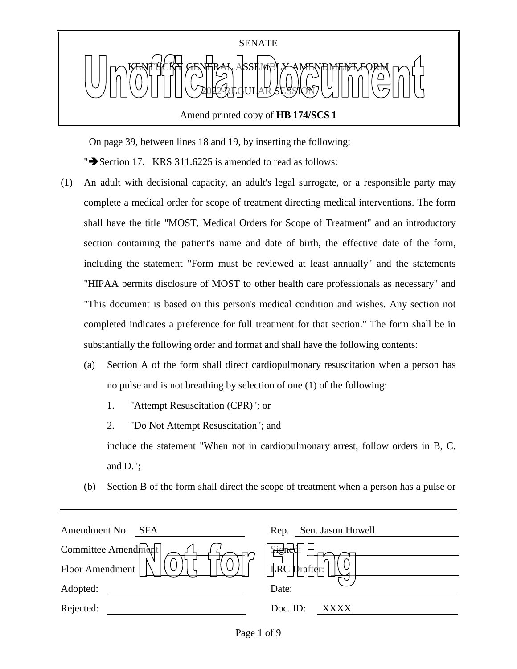

Amend printed copy of **HB 174/SCS 1**

On page 39, between lines 18 and 19, by inserting the following:

" $\blacktriangleright$  Section 17. KRS 311.6225 is amended to read as follows:

- (1) An adult with decisional capacity, an adult's legal surrogate, or a responsible party may complete a medical order for scope of treatment directing medical interventions. The form shall have the title "MOST, Medical Orders for Scope of Treatment" and an introductory section containing the patient's name and date of birth, the effective date of the form, including the statement "Form must be reviewed at least annually" and the statements "HIPAA permits disclosure of MOST to other health care professionals as necessary" and "This document is based on this person's medical condition and wishes. Any section not completed indicates a preference for full treatment for that section." The form shall be in substantially the following order and format and shall have the following contents:
	- (a) Section A of the form shall direct cardiopulmonary resuscitation when a person has no pulse and is not breathing by selection of one (1) of the following:
		- 1. "Attempt Resuscitation (CPR)"; or
		- 2. "Do Not Attempt Resuscitation"; and

include the statement "When not in cardiopulmonary arrest, follow orders in B, C, and D.";

(b) Section B of the form shall direct the scope of treatment when a person has a pulse or

| Amendment No.<br><b>SFA</b> | Sen. Jason Howell<br>Rep. |
|-----------------------------|---------------------------|
| Committee Amendment         | <b>pign</b>               |
| Floor Amendment             | LRC                       |
| Adopted:                    | Date:                     |
| Rejected:                   | Doc. $ID$ :<br>XXXX       |
|                             |                           |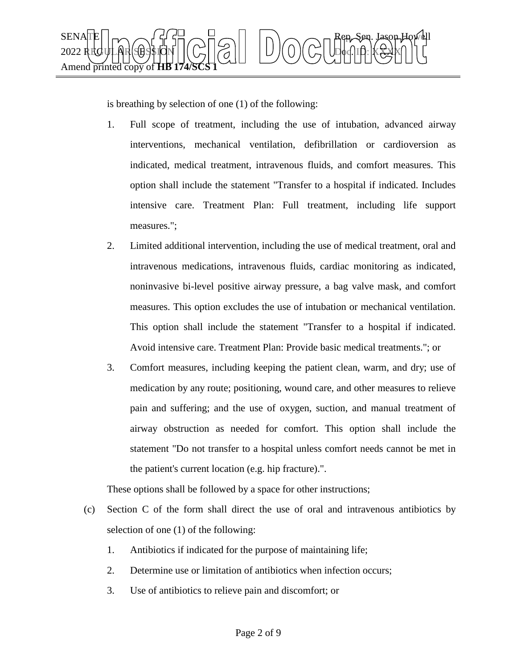

is breathing by selection of one (1) of the following:

- 1. Full scope of treatment, including the use of intubation, advanced airway interventions, mechanical ventilation, defibrillation or cardioversion as indicated, medical treatment, intravenous fluids, and comfort measures. This option shall include the statement "Transfer to a hospital if indicated. Includes intensive care. Treatment Plan: Full treatment, including life support measures.";
- 2. Limited additional intervention, including the use of medical treatment, oral and intravenous medications, intravenous fluids, cardiac monitoring as indicated, noninvasive bi-level positive airway pressure, a bag valve mask, and comfort measures. This option excludes the use of intubation or mechanical ventilation. This option shall include the statement "Transfer to a hospital if indicated. Avoid intensive care. Treatment Plan: Provide basic medical treatments."; or
- 3. Comfort measures, including keeping the patient clean, warm, and dry; use of medication by any route; positioning, wound care, and other measures to relieve pain and suffering; and the use of oxygen, suction, and manual treatment of airway obstruction as needed for comfort. This option shall include the statement "Do not transfer to a hospital unless comfort needs cannot be met in the patient's current location (e.g. hip fracture).".

These options shall be followed by a space for other instructions;

- (c) Section C of the form shall direct the use of oral and intravenous antibiotics by selection of one (1) of the following:
	- 1. Antibiotics if indicated for the purpose of maintaining life;
	- 2. Determine use or limitation of antibiotics when infection occurs;
	- 3. Use of antibiotics to relieve pain and discomfort; or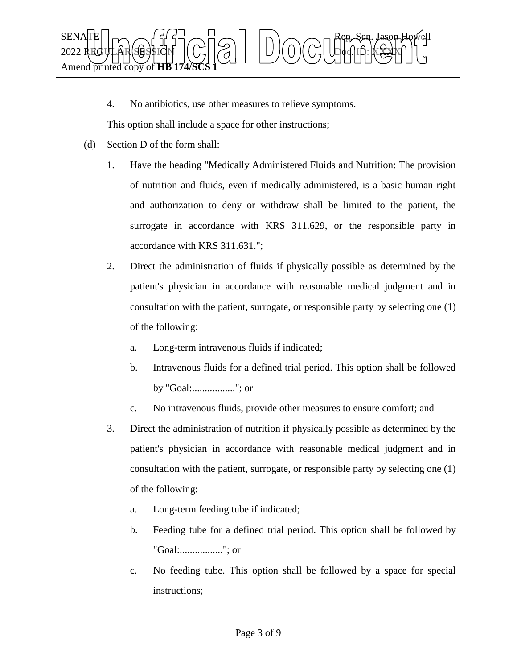

4. No antibiotics, use other measures to relieve symptoms.

This option shall include a space for other instructions;

- (d) Section D of the form shall:
	- 1. Have the heading "Medically Administered Fluids and Nutrition: The provision of nutrition and fluids, even if medically administered, is a basic human right and authorization to deny or withdraw shall be limited to the patient, the surrogate in accordance with KRS 311.629, or the responsible party in accordance with KRS 311.631.";
	- 2. Direct the administration of fluids if physically possible as determined by the patient's physician in accordance with reasonable medical judgment and in consultation with the patient, surrogate, or responsible party by selecting one (1) of the following:
		- a. Long-term intravenous fluids if indicated;
		- b. Intravenous fluids for a defined trial period. This option shall be followed by "Goal:................."; or
		- c. No intravenous fluids, provide other measures to ensure comfort; and
	- 3. Direct the administration of nutrition if physically possible as determined by the patient's physician in accordance with reasonable medical judgment and in consultation with the patient, surrogate, or responsible party by selecting one (1) of the following:
		- a. Long-term feeding tube if indicated;
		- b. Feeding tube for a defined trial period. This option shall be followed by "Goal:................."; or
		- c. No feeding tube. This option shall be followed by a space for special instructions;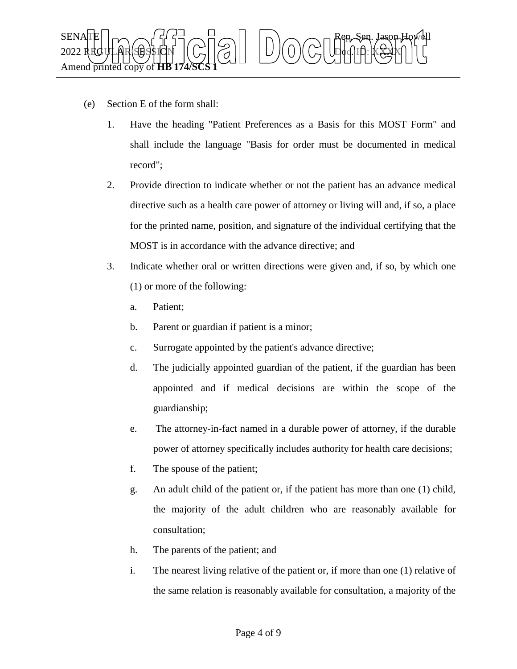

- (e) Section E of the form shall:
	- 1. Have the heading "Patient Preferences as a Basis for this MOST Form" and shall include the language "Basis for order must be documented in medical record";
	- 2. Provide direction to indicate whether or not the patient has an advance medical directive such as a health care power of attorney or living will and, if so, a place for the printed name, position, and signature of the individual certifying that the MOST is in accordance with the advance directive; and
	- 3. Indicate whether oral or written directions were given and, if so, by which one (1) or more of the following:
		- a. Patient;
		- b. Parent or guardian if patient is a minor;
		- c. Surrogate appointed by the patient's advance directive;
		- d. The judicially appointed guardian of the patient, if the guardian has been appointed and if medical decisions are within the scope of the guardianship;
		- e. The attorney-in-fact named in a durable power of attorney, if the durable power of attorney specifically includes authority for health care decisions;
		- f. The spouse of the patient;
		- g. An adult child of the patient or, if the patient has more than one (1) child, the majority of the adult children who are reasonably available for consultation;
		- h. The parents of the patient; and
		- i. The nearest living relative of the patient or, if more than one (1) relative of the same relation is reasonably available for consultation, a majority of the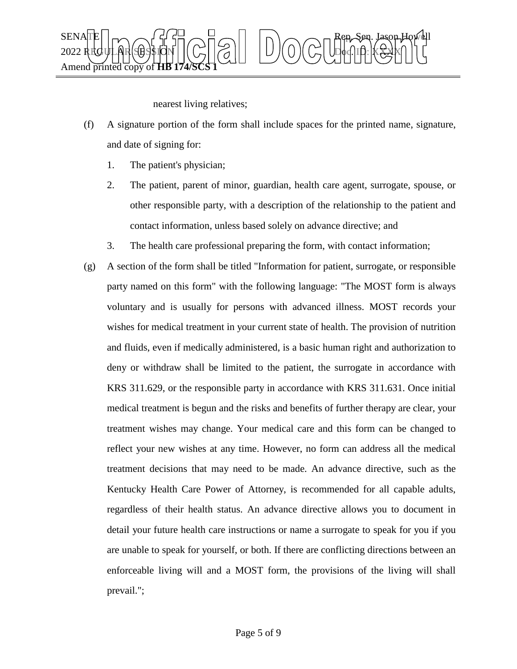

nearest living relatives;

- (f) A signature portion of the form shall include spaces for the printed name, signature, and date of signing for:
	- 1. The patient's physician;
	- 2. The patient, parent of minor, guardian, health care agent, surrogate, spouse, or other responsible party, with a description of the relationship to the patient and contact information, unless based solely on advance directive; and
	- 3. The health care professional preparing the form, with contact information;
- (g) A section of the form shall be titled "Information for patient, surrogate, or responsible party named on this form" with the following language: "The MOST form is always voluntary and is usually for persons with advanced illness. MOST records your wishes for medical treatment in your current state of health. The provision of nutrition and fluids, even if medically administered, is a basic human right and authorization to deny or withdraw shall be limited to the patient, the surrogate in accordance with KRS 311.629, or the responsible party in accordance with KRS 311.631. Once initial medical treatment is begun and the risks and benefits of further therapy are clear, your treatment wishes may change. Your medical care and this form can be changed to reflect your new wishes at any time. However, no form can address all the medical treatment decisions that may need to be made. An advance directive, such as the Kentucky Health Care Power of Attorney, is recommended for all capable adults, regardless of their health status. An advance directive allows you to document in detail your future health care instructions or name a surrogate to speak for you if you are unable to speak for yourself, or both. If there are conflicting directions between an enforceable living will and a MOST form, the provisions of the living will shall prevail.";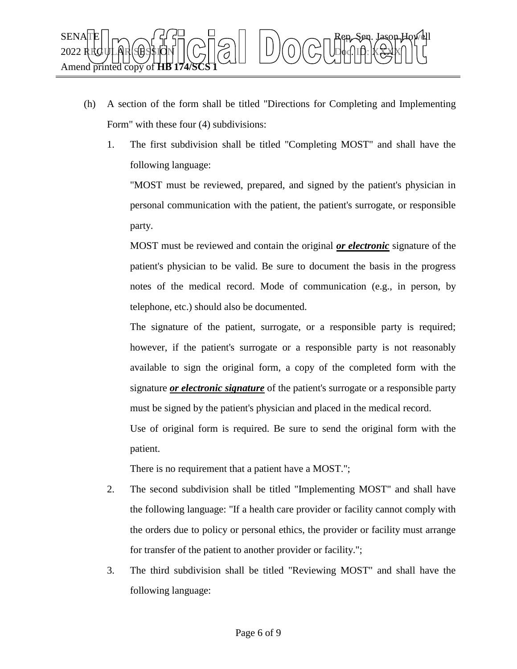

- (h) A section of the form shall be titled "Directions for Completing and Implementing Form" with these four (4) subdivisions:
	- 1. The first subdivision shall be titled "Completing MOST" and shall have the following language:

"MOST must be reviewed, prepared, and signed by the patient's physician in personal communication with the patient, the patient's surrogate, or responsible party.

MOST must be reviewed and contain the original *or electronic* signature of the patient's physician to be valid. Be sure to document the basis in the progress notes of the medical record. Mode of communication (e.g., in person, by telephone, etc.) should also be documented.

The signature of the patient, surrogate, or a responsible party is required; however, if the patient's surrogate or a responsible party is not reasonably available to sign the original form, a copy of the completed form with the signature *or electronic signature* of the patient's surrogate or a responsible party must be signed by the patient's physician and placed in the medical record.

Use of original form is required. Be sure to send the original form with the patient.

There is no requirement that a patient have a MOST.";

- 2. The second subdivision shall be titled "Implementing MOST" and shall have the following language: "If a health care provider or facility cannot comply with the orders due to policy or personal ethics, the provider or facility must arrange for transfer of the patient to another provider or facility.";
- 3. The third subdivision shall be titled "Reviewing MOST" and shall have the following language: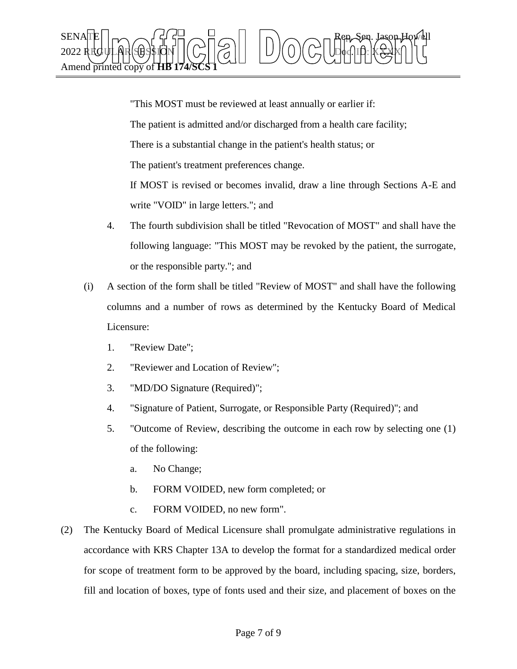

"This MOST must be reviewed at least annually or earlier if: The patient is admitted and/or discharged from a health care facility; There is a substantial change in the patient's health status; or The patient's treatment preferences change. If MOST is revised or becomes invalid, draw a line through Sections A-E and write "VOID" in large letters."; and

- 4. The fourth subdivision shall be titled "Revocation of MOST" and shall have the following language: "This MOST may be revoked by the patient, the surrogate, or the responsible party."; and
- (i) A section of the form shall be titled "Review of MOST" and shall have the following columns and a number of rows as determined by the Kentucky Board of Medical Licensure:
	- 1. "Review Date";
	- 2. "Reviewer and Location of Review";
	- 3. "MD/DO Signature (Required)";
	- 4. "Signature of Patient, Surrogate, or Responsible Party (Required)"; and
	- 5. "Outcome of Review, describing the outcome in each row by selecting one (1) of the following:
		- a. No Change;
		- b. FORM VOIDED, new form completed; or
		- c. FORM VOIDED, no new form".
- (2) The Kentucky Board of Medical Licensure shall promulgate administrative regulations in accordance with KRS Chapter 13A to develop the format for a standardized medical order for scope of treatment form to be approved by the board, including spacing, size, borders, fill and location of boxes, type of fonts used and their size, and placement of boxes on the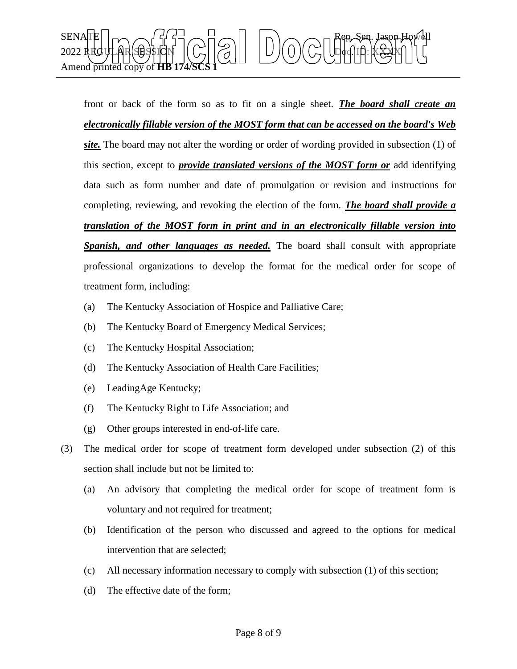

front or back of the form so as to fit on a single sheet. *The board shall create an electronically fillable version of the MOST form that can be accessed on the board's Web site.* The board may not alter the wording or order of wording provided in subsection (1) of this section, except to *provide translated versions of the MOST form or* add identifying data such as form number and date of promulgation or revision and instructions for completing, reviewing, and revoking the election of the form. *The board shall provide a translation of the MOST form in print and in an electronically fillable version into Spanish, and other languages as needed.* The board shall consult with appropriate professional organizations to develop the format for the medical order for scope of treatment form, including:

- (a) The Kentucky Association of Hospice and Palliative Care;
- (b) The Kentucky Board of Emergency Medical Services;
- (c) The Kentucky Hospital Association;
- (d) The Kentucky Association of Health Care Facilities;
- (e) LeadingAge Kentucky;
- (f) The Kentucky Right to Life Association; and
- (g) Other groups interested in end-of-life care.
- (3) The medical order for scope of treatment form developed under subsection (2) of this section shall include but not be limited to:
	- (a) An advisory that completing the medical order for scope of treatment form is voluntary and not required for treatment;
	- (b) Identification of the person who discussed and agreed to the options for medical intervention that are selected;
	- (c) All necessary information necessary to comply with subsection (1) of this section;
	- (d) The effective date of the form;